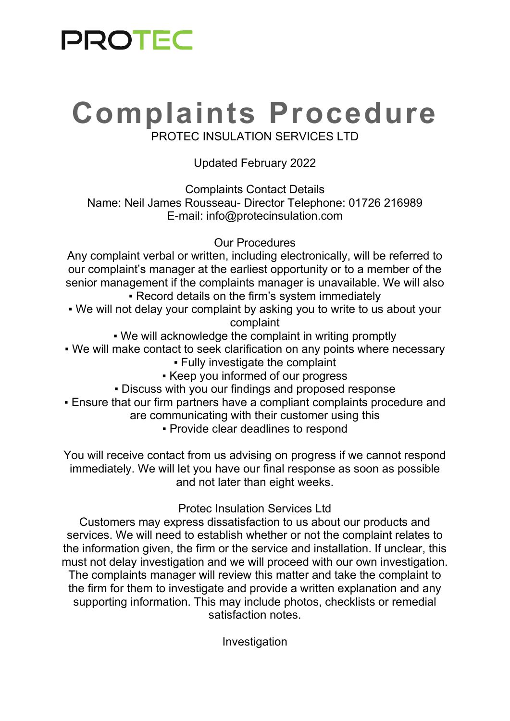### **PROTEC**

# **Complaints Procedure**

PROTEC INSULATION SERVICES LTD

#### Updated February 2022

Complaints Contact Details Name: Neil James Rousseau- Director Telephone: 01726 216989 E-mail: info@protecinsulation.com

Our Procedures

Any complaint verbal or written, including electronically, will be referred to our complaint's manager at the earliest opportunity or to a member of the senior management if the complaints manager is unavailable. We will also • Record details on the firm's system immediately

- We will not delay your complaint by asking you to write to us about your complaint
	- We will acknowledge the complaint in writing promptly
- We will make contact to seek clarification on any points where necessary
	- Fully investigate the complaint
	- Keep you informed of our progress
	- Discuss with you our findings and proposed response
- Ensure that our firm partners have a compliant complaints procedure and
	- are communicating with their customer using this
		- Provide clear deadlines to respond

You will receive contact from us advising on progress if we cannot respond immediately. We will let you have our final response as soon as possible and not later than eight weeks.

#### Protec Insulation Services Ltd

Customers may express dissatisfaction to us about our products and services. We will need to establish whether or not the complaint relates to the information given, the firm or the service and installation. If unclear, this must not delay investigation and we will proceed with our own investigation. The complaints manager will review this matter and take the complaint to the firm for them to investigate and provide a written explanation and any supporting information. This may include photos, checklists or remedial satisfaction notes.

Investigation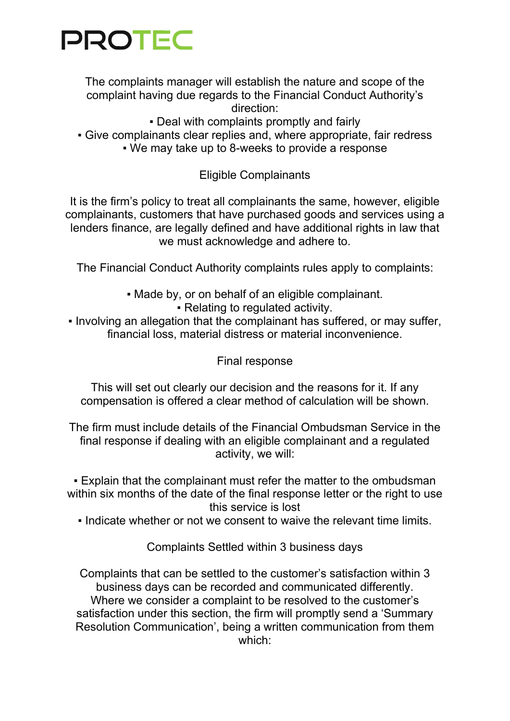### **PROTEC**

The complaints manager will establish the nature and scope of the complaint having due regards to the Financial Conduct Authority's direction:

• Deal with complaints promptly and fairly • Give complainants clear replies and, where appropriate, fair redress ▪ We may take up to 8-weeks to provide a response

Eligible Complainants

It is the firm's policy to treat all complainants the same, however, eligible complainants, customers that have purchased goods and services using a lenders finance, are legally defined and have additional rights in law that we must acknowledge and adhere to.

The Financial Conduct Authority complaints rules apply to complaints:

▪ Made by, or on behalf of an eligible complainant.

▪ Relating to regulated activity.

• Involving an allegation that the complainant has suffered, or may suffer, financial loss, material distress or material inconvenience.

Final response

This will set out clearly our decision and the reasons for it. If any compensation is offered a clear method of calculation will be shown.

The firm must include details of the Financial Ombudsman Service in the final response if dealing with an eligible complainant and a regulated activity, we will:

**Explain that the complainant must refer the matter to the ombudsman** within six months of the date of the final response letter or the right to use this service is lost

▪ Indicate whether or not we consent to waive the relevant time limits.

Complaints Settled within 3 business days

Complaints that can be settled to the customer's satisfaction within 3 business days can be recorded and communicated differently. Where we consider a complaint to be resolved to the customer's satisfaction under this section, the firm will promptly send a 'Summary Resolution Communication', being a written communication from them which: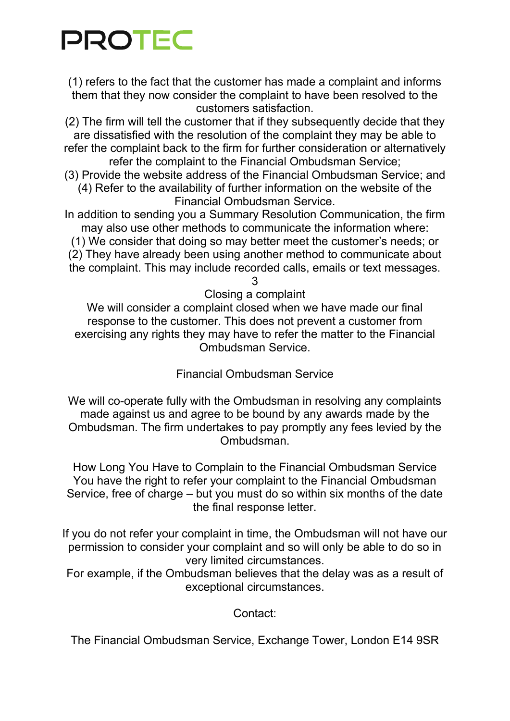## **PROTEC**

(1) refers to the fact that the customer has made a complaint and informs them that they now consider the complaint to have been resolved to the customers satisfaction.

(2) The firm will tell the customer that if they subsequently decide that they are dissatisfied with the resolution of the complaint they may be able to refer the complaint back to the firm for further consideration or alternatively refer the complaint to the Financial Ombudsman Service;

(3) Provide the website address of the Financial Ombudsman Service; and (4) Refer to the availability of further information on the website of the Financial Ombudsman Service.

In addition to sending you a Summary Resolution Communication, the firm may also use other methods to communicate the information where: (1) We consider that doing so may better meet the customer's needs; or (2) They have already been using another method to communicate about the complaint. This may include recorded calls, emails or text messages.

3

Closing a complaint

We will consider a complaint closed when we have made our final response to the customer. This does not prevent a customer from exercising any rights they may have to refer the matter to the Financial Ombudsman Service.

Financial Ombudsman Service

We will co-operate fully with the Ombudsman in resolving any complaints made against us and agree to be bound by any awards made by the Ombudsman. The firm undertakes to pay promptly any fees levied by the Ombudsman.

How Long You Have to Complain to the Financial Ombudsman Service You have the right to refer your complaint to the Financial Ombudsman Service, free of charge – but you must do so within six months of the date the final response letter.

If you do not refer your complaint in time, the Ombudsman will not have our permission to consider your complaint and so will only be able to do so in very limited circumstances.

For example, if the Ombudsman believes that the delay was as a result of exceptional circumstances.

Contact:

The Financial Ombudsman Service, Exchange Tower, London E14 9SR